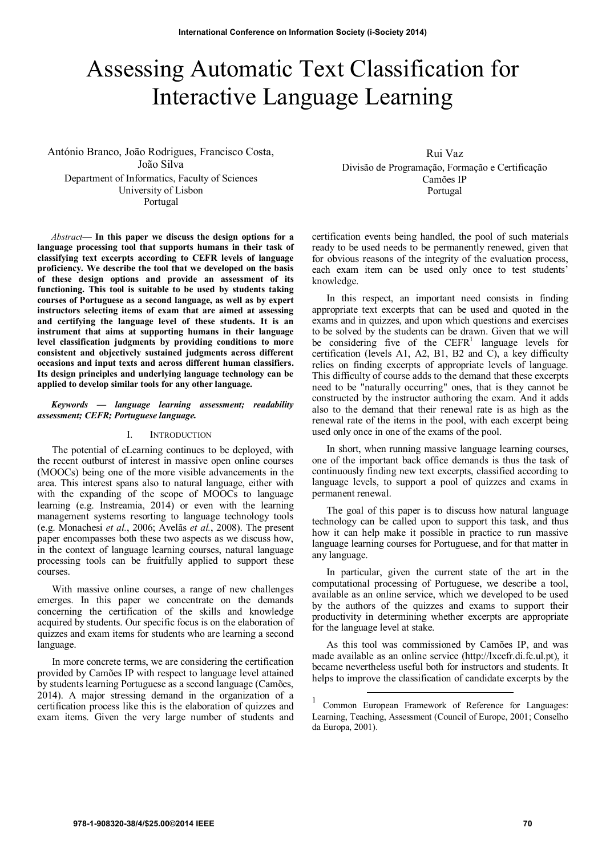# Assessing Automatic Text Classification for Interactive Language Learning

António Branco, João Rodrigues, Francisco Costa, João Silva Department of Informatics, Faculty of Sciences University of Lisbon Portugal

*Abstract***— In this paper we discuss the design options for a language processing tool that supports humans in their task of classifying text excerpts according to CEFR levels of language proficiency. We describe the tool that we developed on the basis of these design options and provide an assessment of its functioning. This tool is suitable to be used by students taking courses of Portuguese as a second language, as well as by expert instructors selecting items of exam that are aimed at assessing and certifying the language level of these students. It is an instrument that aims at supporting humans in their language level classification judgments by providing conditions to more consistent and objectively sustained judgments across different occasions and input texts and across different human classifiers. Its design principles and underlying language technology can be applied to develop similar tools for any other language.** 

## *Keywords — language learning assessment; readability assessment; CEFR; Portuguese language.*

## I. INTRODUCTION

The potential of eLearning continues to be deployed, with the recent outburst of interest in massive open online courses (MOOCs) being one of the more visible advancements in the area. This interest spans also to natural language, either with with the expanding of the scope of MOOCs to language learning (e.g. Instreamia, 2014) or even with the learning management systems resorting to language technology tools (e.g. Monachesi *et al.*, 2006; Avelãs *et al.*, 2008). The present paper encompasses both these two aspects as we discuss how, in the context of language learning courses, natural language processing tools can be fruitfully applied to support these courses.

With massive online courses, a range of new challenges emerges. In this paper we concentrate on the demands concerning the certification of the skills and knowledge acquired by students. Our specific focus is on the elaboration of quizzes and exam items for students who are learning a second language.

In more concrete terms, we are considering the certification provided by Camões IP with respect to language level attained by students learning Portuguese as a second language (Camões, 2014). A major stressing demand in the organization of a certification process like this is the elaboration of quizzes and exam items. Given the very large number of students and

Rui Vaz Divisão de Programação, Formação e Certificação Camões IP Portugal

certification events being handled, the pool of such materials ready to be used needs to be permanently renewed, given that for obvious reasons of the integrity of the evaluation process, each exam item can be used only once to test students' knowledge.

In this respect, an important need consists in finding appropriate text excerpts that can be used and quoted in the exams and in quizzes, and upon which questions and exercises to be solved by the students can be drawn. Given that we will be considering five of the  $C\to R^1$  language levels for certification (levels A1, A2, B1, B2 and C), a key difficulty relies on finding excerpts of appropriate levels of language. This difficulty of course adds to the demand that these excerpts need to be "naturally occurring" ones, that is they cannot be constructed by the instructor authoring the exam. And it adds also to the demand that their renewal rate is as high as the renewal rate of the items in the pool, with each excerpt being used only once in one of the exams of the pool.

In short, when running massive language learning courses, one of the important back office demands is thus the task of continuously finding new text excerpts, classified according to language levels, to support a pool of quizzes and exams in permanent renewal.

The goal of this paper is to discuss how natural language technology can be called upon to support this task, and thus how it can help make it possible in practice to run massive language learning courses for Portuguese, and for that matter in any language.

In particular, given the current state of the art in the computational processing of Portuguese, we describe a tool, available as an online service, which we developed to be used by the authors of the quizzes and exams to support their productivity in determining whether excerpts are appropriate for the language level at stake.

As this tool was commissioned by Camões IP, and was made available as an online service (http://lxcefr.di.fc.ul.pt), it became nevertheless useful both for instructors and students. It helps to improve the classification of candidate excerpts by the

<sup>&</sup>lt;sup>1</sup> Common European Framework of Reference for Languages: Learning, Teaching, Assessment (Council of Europe, 2001; Conselho da Europa, 2001).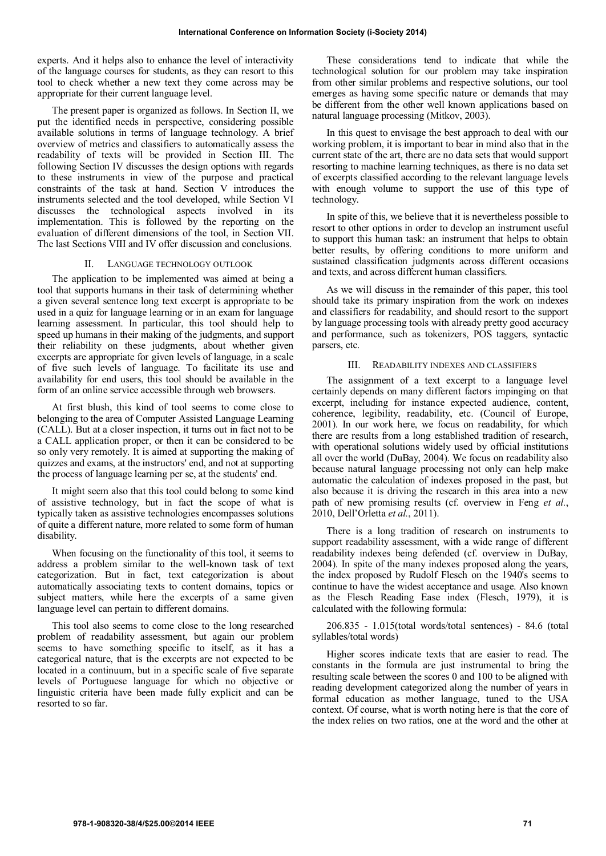experts. And it helps also to enhance the level of interactivity of the language courses for students, as they can resort to this tool to check whether a new text they come across may be appropriate for their current language level.

The present paper is organized as follows. In Section II, we put the identified needs in perspective, considering possible available solutions in terms of language technology. A brief overview of metrics and classifiers to automatically assess the readability of texts will be provided in Section III. The following Section IV discusses the design options with regards to these instruments in view of the purpose and practical constraints of the task at hand. Section V introduces the instruments selected and the tool developed, while Section VI discusses the technological aspects involved in its implementation. This is followed by the reporting on the evaluation of different dimensions of the tool, in Section VII. The last Sections VIII and IV offer discussion and conclusions.

## II. LANGUAGE TECHNOLOGY OUTLOOK

The application to be implemented was aimed at being a tool that supports humans in their task of determining whether a given several sentence long text excerpt is appropriate to be used in a quiz for language learning or in an exam for language learning assessment. In particular, this tool should help to speed up humans in their making of the judgments, and support their reliability on these judgments, about whether given excerpts are appropriate for given levels of language, in a scale of five such levels of language. To facilitate its use and availability for end users, this tool should be available in the form of an online service accessible through web browsers.

At first blush, this kind of tool seems to come close to belonging to the area of Computer Assisted Language Learning (CALL). But at a closer inspection, it turns out in fact not to be a CALL application proper, or then it can be considered to be so only very remotely. It is aimed at supporting the making of quizzes and exams, at the instructors' end, and not at supporting the process of language learning per se, at the students' end.

It might seem also that this tool could belong to some kind of assistive technology, but in fact the scope of what is typically taken as assistive technologies encompasses solutions of quite a different nature, more related to some form of human disability.

When focusing on the functionality of this tool, it seems to address a problem similar to the well-known task of text categorization. But in fact, text categorization is about automatically associating texts to content domains, topics or subject matters, while here the excerpts of a same given language level can pertain to different domains.

This tool also seems to come close to the long researched problem of readability assessment, but again our problem seems to have something specific to itself, as it has a categorical nature, that is the excerpts are not expected to be located in a continuum, but in a specific scale of five separate levels of Portuguese language for which no objective or linguistic criteria have been made fully explicit and can be resorted to so far.

These considerations tend to indicate that while the technological solution for our problem may take inspiration from other similar problems and respective solutions, our tool emerges as having some specific nature or demands that may be different from the other well known applications based on natural language processing (Mitkov, 2003).

In this quest to envisage the best approach to deal with our working problem, it is important to bear in mind also that in the current state of the art, there are no data sets that would support resorting to machine learning techniques, as there is no data set of excerpts classified according to the relevant language levels with enough volume to support the use of this type of technology.

In spite of this, we believe that it is nevertheless possible to resort to other options in order to develop an instrument useful to support this human task: an instrument that helps to obtain better results, by offering conditions to more uniform and sustained classification judgments across different occasions and texts, and across different human classifiers.

As we will discuss in the remainder of this paper, this tool should take its primary inspiration from the work on indexes and classifiers for readability, and should resort to the support by language processing tools with already pretty good accuracy and performance, such as tokenizers, POS taggers, syntactic parsers, etc.

## III. READABILITY INDEXES AND CLASSIFIERS

The assignment of a text excerpt to a language level certainly depends on many different factors impinging on that excerpt, including for instance expected audience, content, coherence, legibility, readability, etc. (Council of Europe, 2001). In our work here, we focus on readability, for which there are results from a long established tradition of research, with operational solutions widely used by official institutions all over the world (DuBay, 2004). We focus on readability also because natural language processing not only can help make automatic the calculation of indexes proposed in the past, but also because it is driving the research in this area into a new path of new promising results (cf. overview in Feng *et al.*, 2010, Dell'Orletta *et al.*, 2011).

There is a long tradition of research on instruments to support readability assessment, with a wide range of different readability indexes being defended (cf. overview in DuBay, 2004). In spite of the many indexes proposed along the years, the index proposed by Rudolf Flesch on the 1940's seems to continue to have the widest acceptance and usage. Also known as the Flesch Reading Ease index (Flesch, 1979), it is calculated with the following formula:

206.835 - 1.015(total words/total sentences) - 84.6 (total syllables/total words)

Higher scores indicate texts that are easier to read. The constants in the formula are just instrumental to bring the resulting scale between the scores 0 and 100 to be aligned with reading development categorized along the number of years in formal education as mother language, tuned to the USA context. Of course, what is worth noting here is that the core of the index relies on two ratios, one at the word and the other at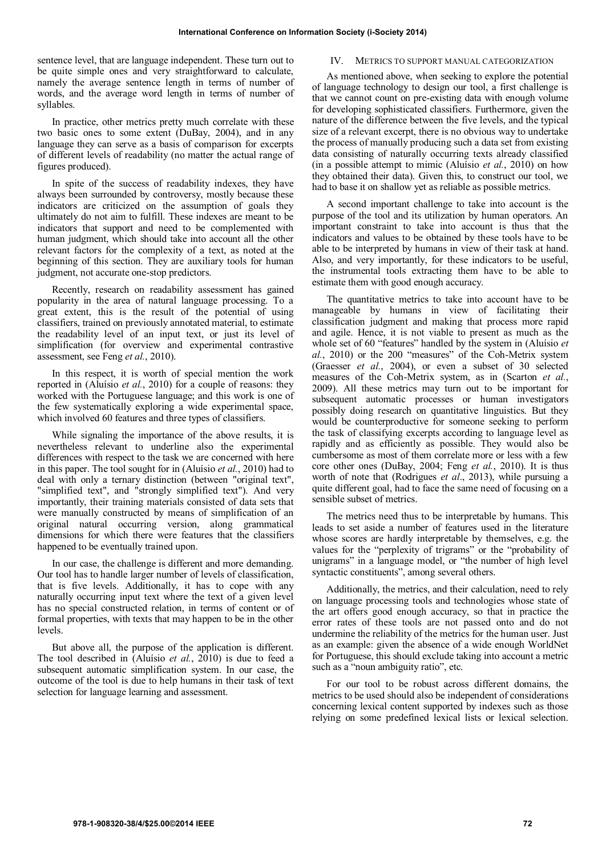sentence level, that are language independent. These turn out to be quite simple ones and very straightforward to calculate, namely the average sentence length in terms of number of words, and the average word length in terms of number of syllables.

In practice, other metrics pretty much correlate with these two basic ones to some extent (DuBay, 2004), and in any language they can serve as a basis of comparison for excerpts of different levels of readability (no matter the actual range of figures produced).

In spite of the success of readability indexes, they have always been surrounded by controversy, mostly because these indicators are criticized on the assumption of goals they ultimately do not aim to fulfill. These indexes are meant to be indicators that support and need to be complemented with human judgment, which should take into account all the other relevant factors for the complexity of a text, as noted at the beginning of this section. They are auxiliary tools for human judgment, not accurate one-stop predictors.

Recently, research on readability assessment has gained popularity in the area of natural language processing. To a great extent, this is the result of the potential of using classifiers, trained on previously annotated material, to estimate the readability level of an input text, or just its level of simplification (for overview and experimental contrastive assessment, see Feng *et al.*, 2010).

In this respect, it is worth of special mention the work reported in (Aluísio *et al.*, 2010) for a couple of reasons: they worked with the Portuguese language; and this work is one of the few systematically exploring a wide experimental space, which involved 60 features and three types of classifiers.

While signaling the importance of the above results, it is nevertheless relevant to underline also the experimental differences with respect to the task we are concerned with here in this paper. The tool sought for in (Aluísio *et al.*, 2010) had to deal with only a ternary distinction (between "original text", "simplified text", and "strongly simplified text"). And very importantly, their training materials consisted of data sets that were manually constructed by means of simplification of an original natural occurring version, along grammatical dimensions for which there were features that the classifiers happened to be eventually trained upon.

In our case, the challenge is different and more demanding. Our tool has to handle larger number of levels of classification, that is five levels. Additionally, it has to cope with any naturally occurring input text where the text of a given level has no special constructed relation, in terms of content or of formal properties, with texts that may happen to be in the other levels.

But above all, the purpose of the application is different. The tool described in (Aluísio *et al.*, 2010) is due to feed a subsequent automatic simplification system. In our case, the outcome of the tool is due to help humans in their task of text selection for language learning and assessment.

# IV. METRICS TO SUPPORT MANUAL CATEGORIZATION

As mentioned above, when seeking to explore the potential of language technology to design our tool, a first challenge is that we cannot count on pre-existing data with enough volume for developing sophisticated classifiers. Furthermore, given the nature of the difference between the five levels, and the typical size of a relevant excerpt, there is no obvious way to undertake the process of manually producing such a data set from existing data consisting of naturally occurring texts already classified (in a possible attempt to mimic (Aluísio *et al.*, 2010) on how they obtained their data). Given this, to construct our tool, we had to base it on shallow yet as reliable as possible metrics.

A second important challenge to take into account is the purpose of the tool and its utilization by human operators. An important constraint to take into account is thus that the indicators and values to be obtained by these tools have to be able to be interpreted by humans in view of their task at hand. Also, and very importantly, for these indicators to be useful, the instrumental tools extracting them have to be able to estimate them with good enough accuracy.

The quantitative metrics to take into account have to be manageable by humans in view of facilitating their classification judgment and making that process more rapid and agile. Hence, it is not viable to present as much as the whole set of 60 "features" handled by the system in (Aluísio *et al.*, 2010) or the 200 "measures" of the Coh-Metrix system (Graesser *et al.*, 2004), or even a subset of 30 selected measures of the Coh-Metrix system, as in (Scarton *et al.*, 2009). All these metrics may turn out to be important for subsequent automatic processes or human investigators possibly doing research on quantitative linguistics. But they would be counterproductive for someone seeking to perform the task of classifying excerpts according to language level as rapidly and as efficiently as possible. They would also be cumbersome as most of them correlate more or less with a few core other ones (DuBay, 2004; Feng *et al.*, 2010). It is thus worth of note that (Rodrigues *et al*., 2013), while pursuing a quite different goal, had to face the same need of focusing on a sensible subset of metrics.

The metrics need thus to be interpretable by humans. This leads to set aside a number of features used in the literature whose scores are hardly interpretable by themselves, e.g. the values for the "perplexity of trigrams" or the "probability of unigrams" in a language model, or "the number of high level syntactic constituents", among several others.

Additionally, the metrics, and their calculation, need to rely on language processing tools and technologies whose state of the art offers good enough accuracy, so that in practice the error rates of these tools are not passed onto and do not undermine the reliability of the metrics for the human user. Just as an example: given the absence of a wide enough WorldNet for Portuguese, this should exclude taking into account a metric such as a "noun ambiguity ratio", etc.

For our tool to be robust across different domains, the metrics to be used should also be independent of considerations concerning lexical content supported by indexes such as those relying on some predefined lexical lists or lexical selection.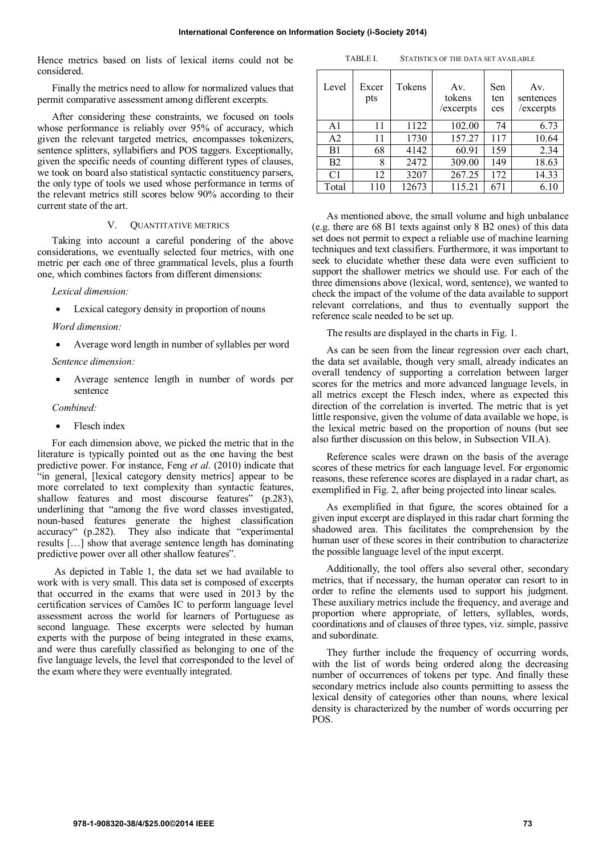Hence metrics based on lists of lexical items could not be considered.

Finally the metrics need to allow for normalized values that permit comparative assessment among different excerpts.

After considering these constraints, we focused on tools whose performance is reliably over 95% of accuracy, which given the relevant targeted metrics, encompasses tokenizers, sentence splitters, syllabifiers and POS taggers. Exceptionally, given the specific needs of counting different types of clauses, we took on board also statistical syntactic constituency parsers, the only type of tools we used whose performance in terms of the relevant metrics still scores below 90% according to their current state of the art.

## V. QUANTITATIVE METRICS

Taking into account a careful pondering of the above considerations, we eventually selected four metrics, with one metric per each one of three grammatical levels, plus a fourth one, which combines factors from different dimensions:

*Lexical dimension:* 

Lexical category density in proportion of nouns

*Word dimension:* 

Average word length in number of syllables per word

## *Sentence dimension:*

x Average sentence length in number of words per sentence

## *Combined:*

 $\bullet$  Flesch index

For each dimension above, we picked the metric that in the literature is typically pointed out as the one having the best predictive power. For instance, Feng *et al*. (2010) indicate that "in general, [lexical category density metrics] appear to be more correlated to text complexity than syntactic features, shallow features and most discourse features" (p.283), underlining that "among the five word classes investigated, noun-based features generate the highest classification accuracy (p.282). They also indicate that "experimental" They also indicate that "experimental results […] show that average sentence length has dominating predictive power over all other shallow features".

 As depicted in Table 1, the data set we had available to work with is very small. This data set is composed of excerpts that occurred in the exams that were used in 2013 by the certification services of Camões IC to perform language level assessment across the world for learners of Portuguese as second language. These excerpts were selected by human experts with the purpose of being integrated in these exams, and were thus carefully classified as belonging to one of the five language levels, the level that corresponded to the level of the exam where they were eventually integrated.

| Level          | Excer<br>pts | Tokens | Av.<br>tokens<br>/excerpts | Sen<br>ten<br>ces | Av.<br>sentences<br>/excerpts |
|----------------|--------------|--------|----------------------------|-------------------|-------------------------------|
| A1             | 11           | 1122   | 102.00                     | 74                | 6.73                          |
| A <sub>2</sub> | 11           | 1730   | 157.27                     | 117               | 10.64                         |
| B1             | 68           | 4142   | 60.91                      | 159               | 2.34                          |
| B2             | 8            | 2472   | 309.00                     | 149               | 18.63                         |
| C <sub>1</sub> | 12           | 3207   | 267.25                     | 172               | 14.33                         |
| Total          | 110          | 12673  | 115.21                     | 671               | 6.10                          |

As mentioned above, the small volume and high unbalance (e.g. there are 68 B1 texts against only 8 B2 ones) of this data set does not permit to expect a reliable use of machine learning techniques and text classifiers. Furthermore, it was important to seek to elucidate whether these data were even sufficient to support the shallower metrics we should use. For each of the three dimensions above (lexical, word, sentence), we wanted to check the impact of the volume of the data available to support relevant correlations, and thus to eventually support the reference scale needed to be set up.

The results are displayed in the charts in Fig. 1.

As can be seen from the linear regression over each chart, the data set available, though very small, already indicates an overall tendency of supporting a correlation between larger scores for the metrics and more advanced language levels, in all metrics except the Flesch index, where as expected this direction of the correlation is inverted. The metric that is yet little responsive, given the volume of data available we hope, is the lexical metric based on the proportion of nouns (but see also further discussion on this below, in Subsection VII.A).

Reference scales were drawn on the basis of the average scores of these metrics for each language level. For ergonomic reasons, these reference scores are displayed in a radar chart, as exemplified in Fig. 2, after being projected into linear scales.

As exemplified in that figure, the scores obtained for a given input excerpt are displayed in this radar chart forming the shadowed area. This facilitates the comprehension by the human user of these scores in their contribution to characterize the possible language level of the input excerpt.

Additionally, the tool offers also several other, secondary metrics, that if necessary, the human operator can resort to in order to refine the elements used to support his judgment. These auxiliary metrics include the frequency, and average and proportion where appropriate, of letters, syllables, words, coordinations and of clauses of three types, viz. simple, passive and subordinate.

They further include the frequency of occurring words, with the list of words being ordered along the decreasing number of occurrences of tokens per type. And finally these secondary metrics include also counts permitting to assess the lexical density of categories other than nouns, where lexical density is characterized by the number of words occurring per POS.

TABLE I. STATISTICS OF THE DATA SET AVAILABLE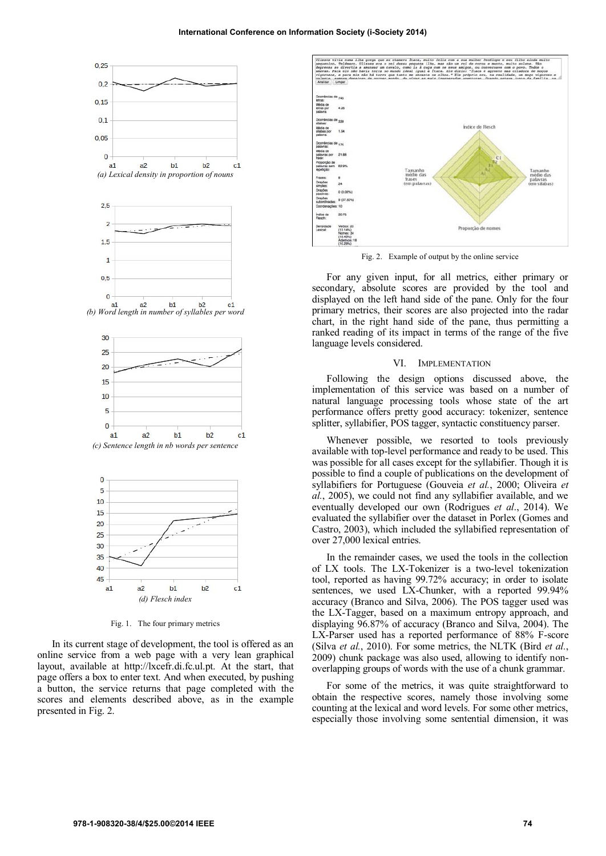#### **International Conference on Information Society (i-Society 2014)**



Fig. 1. The four primary metrics

In its current stage of development, the tool is offered as an online service from a web page with a very lean graphical layout, available at http://lxcefr.di.fc.ul.pt. At the start, that page offers a box to enter text. And when executed, by pushing a button, the service returns that page completed with the scores and elements described above, as in the example presented in Fig. 2.



Fig. 2. Example of output by the online service

For any given input, for all metrics, either primary or secondary, absolute scores are provided by the tool and displayed on the left hand side of the pane. Only for the four primary metrics, their scores are also projected into the radar chart, in the right hand side of the pane, thus permitting a ranked reading of its impact in terms of the range of the five language levels considered.

#### VI. IMPLEMENTATION

Following the design options discussed above, the implementation of this service was based on a number of natural language processing tools whose state of the art performance offers pretty good accuracy: tokenizer, sentence splitter, syllabifier, POS tagger, syntactic constituency parser.

Whenever possible, we resorted to tools previously available with top-level performance and ready to be used. This was possible for all cases except for the syllabifier. Though it is possible to find a couple of publications on the development of syllabifiers for Portuguese (Gouveia *et al.*, 2000; Oliveira *et al.*, 2005), we could not find any syllabifier available, and we eventually developed our own (Rodrigues *et al*., 2014). We evaluated the syllabifier over the dataset in Porlex (Gomes and Castro, 2003), which included the syllabified representation of over 27,000 lexical entries.

In the remainder cases, we used the tools in the collection of LX tools. The LX-Tokenizer is a two-level tokenization tool, reported as having 99.72% accuracy; in order to isolate sentences, we used LX-Chunker, with a reported 99.94% accuracy (Branco and Silva, 2006). The POS tagger used was the LX-Tagger, based on a maximum entropy approach, and displaying 96.87% of accuracy (Branco and Silva, 2004). The LX-Parser used has a reported performance of 88% F-score (Silva *et al.*, 2010). For some metrics, the NLTK (Bird *et al.*, 2009) chunk package was also used, allowing to identify nonoverlapping groups of words with the use of a chunk grammar.

For some of the metrics, it was quite straightforward to obtain the respective scores, namely those involving some counting at the lexical and word levels. For some other metrics, especially those involving some sentential dimension, it was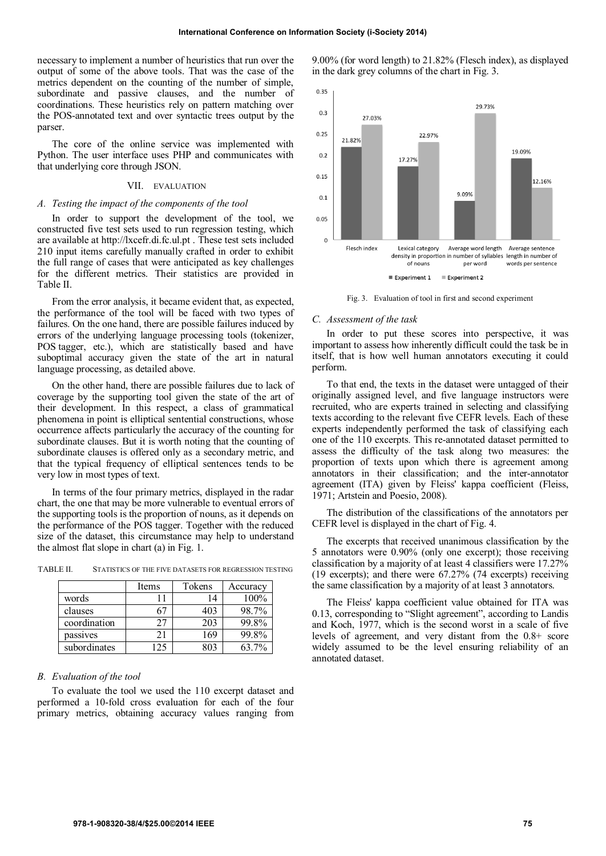necessary to implement a number of heuristics that run over the output of some of the above tools. That was the case of the metrics dependent on the counting of the number of simple, subordinate and passive clauses, and the number of coordinations. These heuristics rely on pattern matching over the POS-annotated text and over syntactic trees output by the parser.

The core of the online service was implemented with Python. The user interface uses PHP and communicates with that underlying core through JSON.

## VII. EVALUATION

## *A. Testing the impact of the components of the tool*

In order to support the development of the tool, we constructed five test sets used to run regression testing, which are available at http://lxcefr.di.fc.ul.pt . These test sets included 210 input items carefully manually crafted in order to exhibit the full range of cases that were anticipated as key challenges for the different metrics. Their statistics are provided in Table II.

From the error analysis, it became evident that, as expected, the performance of the tool will be faced with two types of failures. On the one hand, there are possible failures induced by errors of the underlying language processing tools (tokenizer, POS tagger, etc.), which are statistically based and have suboptimal accuracy given the state of the art in natural language processing, as detailed above.

On the other hand, there are possible failures due to lack of coverage by the supporting tool given the state of the art of their development. In this respect, a class of grammatical phenomena in point is elliptical sentential constructions, whose occurrence affects particularly the accuracy of the counting for subordinate clauses. But it is worth noting that the counting of subordinate clauses is offered only as a secondary metric, and that the typical frequency of elliptical sentences tends to be very low in most types of text.

In terms of the four primary metrics, displayed in the radar chart, the one that may be more vulnerable to eventual errors of the supporting tools is the proportion of nouns, as it depends on the performance of the POS tagger. Together with the reduced size of the dataset, this circumstance may help to understand the almost flat slope in chart (a) in Fig. 1.

TABLE II. STATISTICS OF THE FIVE DATASETS FOR REGRESSION TESTING

|              | Items | Tokens | Accuracy |
|--------------|-------|--------|----------|
| words        |       | 14     | 100%     |
| clauses      | 67    | 403    | 98.7%    |
| coordination | 27    | 203    | 99.8%    |
| passives     | 21    | 169    | 99.8%    |
| subordinates | 125   | 803    | 63.7%    |

## *B. Evaluation of the tool*

To evaluate the tool we used the 110 excerpt dataset and performed a 10-fold cross evaluation for each of the four primary metrics, obtaining accuracy values ranging from

9.00% (for word length) to 21.82% (Flesch index), as displayed in the dark grey columns of the chart in Fig. 3.



Fig. 3. Evaluation of tool in first and second experiment

#### *C. Assessment of the task*

In order to put these scores into perspective, it was important to assess how inherently difficult could the task be in itself, that is how well human annotators executing it could perform.

To that end, the texts in the dataset were untagged of their originally assigned level, and five language instructors were recruited, who are experts trained in selecting and classifying texts according to the relevant five CEFR levels. Each of these experts independently performed the task of classifying each one of the 110 excerpts. This re-annotated dataset permitted to assess the difficulty of the task along two measures: the proportion of texts upon which there is agreement among annotators in their classification; and the inter-annotator agreement (ITA) given by Fleiss' kappa coefficient (Fleiss, 1971; Artstein and Poesio, 2008).

The distribution of the classifications of the annotators per CEFR level is displayed in the chart of Fig. 4.

The excerpts that received unanimous classification by the 5 annotators were 0.90% (only one excerpt); those receiving classification by a majority of at least 4 classifiers were 17.27% (19 excerpts); and there were 67.27% (74 excerpts) receiving the same classification by a majority of at least 3 annotators.

The Fleiss' kappa coefficient value obtained for ITA was 0.13, corresponding to "Slight agreement", according to Landis and Koch, 1977, which is the second worst in a scale of five levels of agreement, and very distant from the 0.8+ score widely assumed to be the level ensuring reliability of an annotated dataset.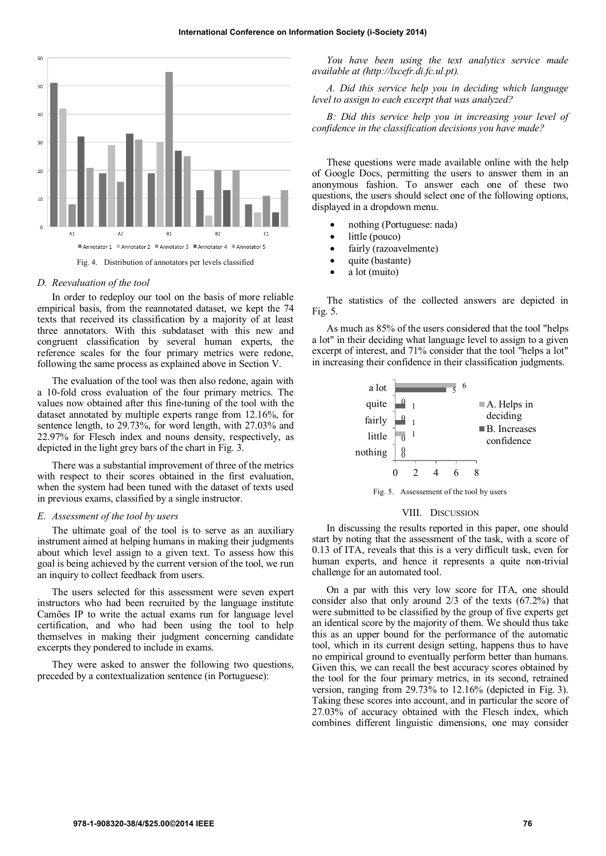

## *D. Reevaluation of the tool*

In order to redeploy our tool on the basis of more reliable empirical basis, from the reannotated dataset, we kept the 74 texts that received its classification by a majority of at least three annotators. With this subdataset with this new and congruent classification by several human experts, the reference scales for the four primary metrics were redone, following the same process as explained above in Section V.

The evaluation of the tool was then also redone, again with a 10-fold cross evaluation of the four primary metrics. The values now obtained after this fine-tuning of the tool with the dataset annotated by multiple experts range from 12.16%, for sentence length, to 29.73%, for word length, with 27.03% and 22.97% for Flesch index and nouns density, respectively, as depicted in the light grey bars of the chart in Fig. 3.

There was a substantial improvement of three of the metrics with respect to their scores obtained in the first evaluation, when the system had been tuned with the dataset of texts used in previous exams, classified by a single instructor.

## *E. Assessment of the tool by users*

The ultimate goal of the tool is to serve as an auxiliary instrument aimed at helping humans in making their judgments about which level assign to a given text. To assess how this goal is being achieved by the current version of the tool, we run an inquiry to collect feedback from users.

The users selected for this assessment were seven expert instructors who had been recruited by the language institute Camões IP to write the actual exams run for language level certification, and who had been using the tool to help themselves in making their judgment concerning candidate excerpts they pondered to include in exams.

They were asked to answer the following two questions, preceded by a contextualization sentence (in Portuguese):

*You have been using the text analytics service made available at (http://lxcefr.di.fc.ul.pt).*

*A. Did this service help you in deciding which language level to assign to each excerpt that was analyzed?* 

*B: Did this service help you in increasing your level of confidence in the classification decisions you have made?* 

These questions were made available online with the help of Google Docs, permitting the users to answer them in an anonymous fashion. To answer each one of these two questions, the users should select one of the following options, displayed in a dropdown menu.

- nothing (Portuguese: nada)
- little (pouco)
- fairly (razoavelmente)
- $\bullet$  quite (bastante)
- a lot (muito)

The statistics of the collected answers are depicted in Fig. 5.

As much as 85% of the users considered that the tool "helps a lot" in their deciding what language level to assign to a given excerpt of interest, and 71% consider that the tool "helps a lot" in increasing their confidence in their classification judgments.



Fig. 5. Assessement of the tool by users

## VIII. DISCUSSION

In discussing the results reported in this paper, one should start by noting that the assessment of the task, with a score of 0.13 of ITA, reveals that this is a very difficult task, even for human experts, and hence it represents a quite non-trivial challenge for an automated tool.

On a par with this very low score for ITA, one should consider also that only around 2/3 of the texts (67.2%) that were submitted to be classified by the group of five experts get an identical score by the majority of them. We should thus take this as an upper bound for the performance of the automatic tool, which in its current design setting, happens thus to have no empirical ground to eventually perform better than humans. Given this, we can recall the best accuracy scores obtained by the tool for the four primary metrics, in its second, retrained version, ranging from 29.73% to 12.16% (depicted in Fig. 3). Taking these scores into account, and in particular the score of 27.03% of accuracy obtained with the Flesch index, which combines different linguistic dimensions, one may consider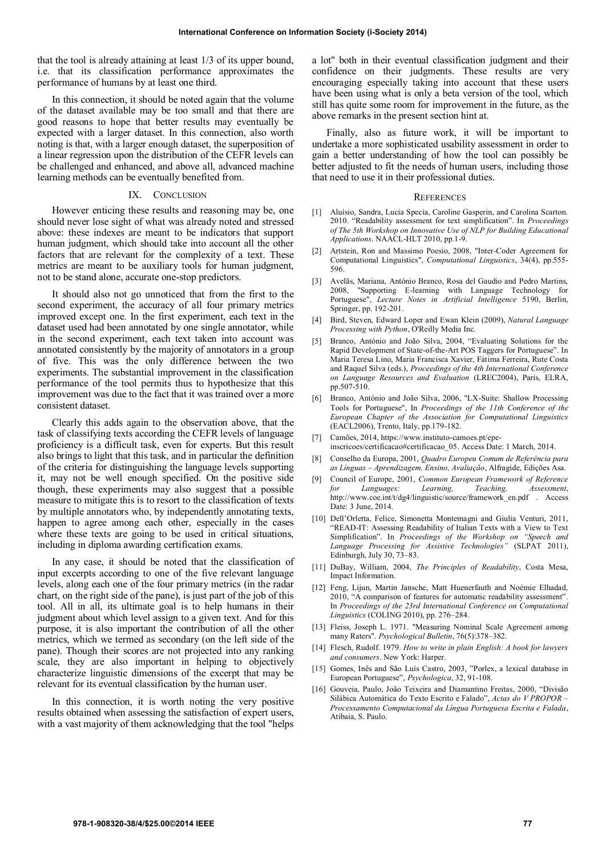that the tool is already attaining at least 1/3 of its upper bound, i.e. that its classification performance approximates the performance of humans by at least one third.

In this connection, it should be noted again that the volume of the dataset available may be too small and that there are good reasons to hope that better results may eventually be expected with a larger dataset. In this connection, also worth noting is that, with a larger enough dataset, the superposition of a linear regression upon the distribution of the CEFR levels can be challenged and enhanced, and above all, advanced machine learning methods can be eventually benefited from.

## IX. CONCLUSION

However enticing these results and reasoning may be, one should never lose sight of what was already noted and stressed above: these indexes are meant to be indicators that support human judgment, which should take into account all the other factors that are relevant for the complexity of a text. These metrics are meant to be auxiliary tools for human judgment, not to be stand alone, accurate one-stop predictors.

It should also not go unnoticed that from the first to the second experiment, the accuracy of all four primary metrics improved except one. In the first experiment, each text in the dataset used had been annotated by one single annotator, while in the second experiment, each text taken into account was annotated consistently by the majority of annotators in a group of five. This was the only difference between the two experiments. The substantial improvement in the classification performance of the tool permits thus to hypothesize that this improvement was due to the fact that it was trained over a more consistent dataset.

Clearly this adds again to the observation above, that the task of classifying texts according the CEFR levels of language proficiency is a difficult task, even for experts. But this result also brings to light that this task, and in particular the definition of the criteria for distinguishing the language levels supporting it, may not be well enough specified. On the positive side though, these experiments may also suggest that a possible measure to mitigate this is to resort to the classification of texts by multiple annotators who, by independently annotating texts, happen to agree among each other, especially in the cases where these texts are going to be used in critical situations, including in diploma awarding certification exams.

In any case, it should be noted that the classification of input excerpts according to one of the five relevant language levels, along each one of the four primary metrics (in the radar chart, on the right side of the pane), is just part of the job of this tool. All in all, its ultimate goal is to help humans in their judgment about which level assign to a given text. And for this purpose, it is also important the contribution of all the other metrics, which we termed as secondary (on the left side of the pane). Though their scores are not projected into any ranking scale, they are also important in helping to objectively characterize linguistic dimensions of the excerpt that may be relevant for its eventual classification by the human user.

In this connection, it is worth noting the very positive results obtained when assessing the satisfaction of expert users, with a vast majority of them acknowledging that the tool "helps

a lot" both in their eventual classification judgment and their confidence on their judgments. These results are very encouraging especially taking into account that these users have been using what is only a beta version of the tool, which still has quite some room for improvement in the future, as the above remarks in the present section hint at.

Finally, also as future work, it will be important to undertake a more sophisticated usability assessment in order to gain a better understanding of how the tool can possibly be better adjusted to fit the needs of human users, including those that need to use it in their professional duties.

#### **REFERENCES**

- [1] Aluísio, Sandra, Lucia Specia, Caroline Gasperin, and Carolina Scarton. 2010. "Readability assessment for text simplification". In *Proceedings of The 5th Workshop on Innovative Use of NLP for Building Educational Applications*. NAACL-HLT 2010, pp.1-9.
- [2] Artstein, Ron and Massimo Poesio, 2008, "Inter-Coder Agreement for Computational Linguistics", *Computational Linguistics*, 34(4), pp.555- 596.
- [3] Avelãs, Mariana, António Branco, Rosa del Gaudio and Pedro Martins, 2008, "Supporting E-learning with Language Technology for Portuguese", *Lecture Notes in Artificial Intelligence* 5190, Berlin, Springer, pp. 192-201.
- [4] Bird, Steven, Edward Loper and Ewan Klein (2009), *Natural Language Processing with Python*, O'Reilly Media Inc.
- [5] Branco, António and João Silva, 2004, "Evaluating Solutions for the Rapid Development of State-of-the-Art POS Taggers for Portuguese". In Maria Teresa Lino, Maria Francisca Xavier, Fátima Ferreira, Rute Costa and Raquel Silva (eds.), *Proceedings of the 4th International Conference on Language Resources and Evaluation* (LREC2004), Paris, ELRA, pp.507-510.
- [6] Branco, António and João Silva, 2006, "LX-Suite: Shallow Processing Tools for Portuguese", In *Proceedings of the 11th Conference of the European Chapter of the Association for Computational Linguistics* (EACL2006), Trento, Italy, pp.179-182.
- [7] Camões, 2014, https://www.instituto-camoes.pt/epeinscricoes/certificacao#certificacao\_05. Access Date: 1 March, 2014.
- [8] Conselho da Europa, 2001, *Quadro Europeu Comum de Referência para as Línguas – Aprendizagem, Ensino, Avaliação*, Alfragide, Edições Asa.
- [9] Council of Europe, 2001, *Common European Framework of Reference for Languages: Learning, Teaching, Assessment*, http://www.coe.int/t/dg4/linguistic/source/framework\_en.pdf . Access Date: 3 June, 2014.
- [10] Dell'Orletta, Felice, Simonetta Montemagni and Giulia Venturi, 2011, "READ-IT: Assessing Readability of Italian Texts with a View to Text Simplification". In *Proceedings of the Workshop on "Speech and Language Processing for Assistive Technologies"* (SLPAT 2011), Edinburgh, July 30, 73–83.
- [11] DuBay, William, 2004, *The Principles of Readability*, Costa Mesa, Impact Information.
- [12] Feng, Lijun, Martin Jansche, Matt Huenerfauth and Noémie Elhadad, 2010, "A comparison of features for automatic readability assessment". In *Proceedings of the 23rd International Conference on Computational Linguistics* (COLING 2010), pp. 276–284.
- [13] Fleiss, Joseph L. 1971. "Measuring Nominal Scale Agreement among many Raters". *Psychological Bulletin*, 76(5):378–382.
- [14] Flesch, Rudolf. 1979. *How to write in plain English: A book for lawyers and consumers*. New York: Harper.
- [15] Gomes, Inês and São Luís Castro, 2003, "Porlex, a lexical database in European Portuguese", *Psychologica*, 32, 91-108.
- [16] Gouveia, Paulo, João Teixeira and Diamantino Freitas, 2000, "Divisão Silábica Automática do Texto Escrito e Falado", *Actas do V PROPOR – Processamento Computacional da Língua Portuguesa Escrita e Falada*, Atibaia, S. Paulo.